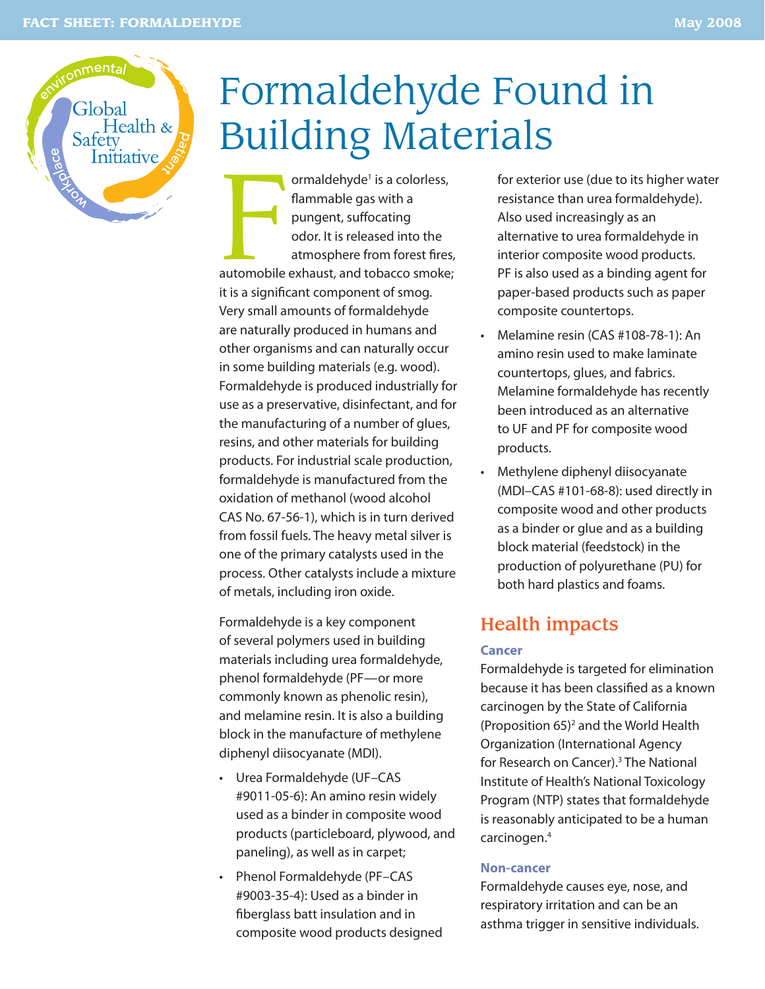

# Formaldehyde Found in Building Materials

ormaldehyde<sup>1</sup> is a colorless,<br>flammable gas with a<br>pungent, suffocating<br>odor. It is released into the<br>atmosphere from forest fires,<br>automobile exhaust, and tobacco smoke; ormaldehyde<sup>1</sup> is a colorless, flammable gas with a pungent, suffocating odor. It is released into the atmosphere from forest fires, it is a significant component of smog. Very small amounts of formaldehyde are naturally produced in humans and other organisms and can naturally occur in some building materials (e.g. wood). Formaldehyde is produced industrially for use as a preservative, disinfectant, and for the manufacturing of a number of glues, resins, and other materials for building products. For industrial scale production, formaldehyde is manufactured from the oxidation of methanol (wood alcohol CAS No. 67-56-1), which is in turn derived from fossil fuels. The heavy metal silver is one of the primary catalysts used in the process. Other catalysts include a mixture of metals, including iron oxide.

Formaldehyde is a key component of several polymers used in building materials including urea formaldehyde, phenol formaldehyde (PF—or more commonly known as phenolic resin), and melamine resin. It is also a building block in the manufacture of methylene diphenyl diisocyanate (MDI).

- Urea Formaldehyde (UF–CAS #9011-05-6): An amino resin widely used as a binder in composite wood products (particleboard, plywood, and paneling), as well as in carpet;
- Phenol Formaldehyde (PF–CAS #9003-35-4): Used as a binder in fiberglass batt insulation and in composite wood products designed

for exterior use (due to its higher water resistance than urea formaldehyde). Also used increasingly as an alternative to urea formaldehyde in interior composite wood products. PF is also used as a binding agent for paper-based products such as paper composite countertops.

- Melamine resin (CAS #108-78-1): An amino resin used to make laminate countertops, glues, and fabrics. Melamine formaldehyde has recently been introduced as an alternative to UF and PF for composite wood products.
- Methylene diphenyl diisocyanate (MDI–CAS #101-68-8): used directly in composite wood and other products as a binder or glue and as a building block material (feedstock) in the production of polyurethane (PU) for both hard plastics and foams.

## Health impacts

#### **Cancer**

Formaldehyde is targeted for elimination because it has been classified as a known carcinogen by the State of California (Proposition  $65$ <sup>2</sup> and the World Health Organization (International Agency for Research on Cancer).<sup>3</sup> The National Institute of Health's National Toxicology Program (NTP) states that formaldehyde is reasonably anticipated to be a human carcinogen.4

#### **Non-cancer**

Formaldehyde causes eye, nose, and respiratory irritation and can be an asthma trigger in sensitive individuals.